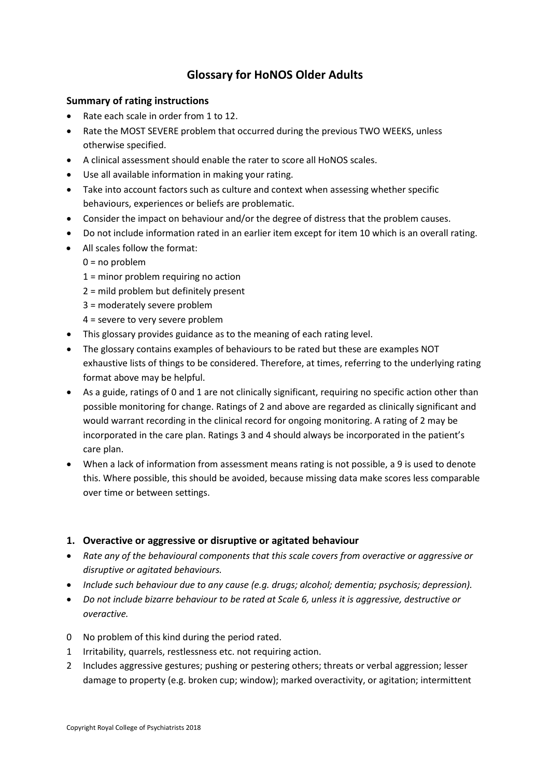# **Glossary for HoNOS Older Adults**

#### **Summary of rating instructions**

- Rate each scale in order from 1 to 12.
- Rate the MOST SEVERE problem that occurred during the previous TWO WEEKS, unless otherwise specified.
- A clinical assessment should enable the rater to score all HoNOS scales.
- Use all available information in making your rating.
- Take into account factors such as culture and context when assessing whether specific behaviours, experiences or beliefs are problematic.
- Consider the impact on behaviour and/or the degree of distress that the problem causes.
- Do not include information rated in an earlier item except for item 10 which is an overall rating.
- All scales follow the format:
	- $0 = no$  problem
	- 1 = minor problem requiring no action
	- 2 = mild problem but definitely present
	- 3 = moderately severe problem
	- 4 = severe to very severe problem
- This glossary provides guidance as to the meaning of each rating level.
- The glossary contains examples of behaviours to be rated but these are examples NOT exhaustive lists of things to be considered. Therefore, at times, referring to the underlying rating format above may be helpful.
- As a guide, ratings of 0 and 1 are not clinically significant, requiring no specific action other than possible monitoring for change. Ratings of 2 and above are regarded as clinically significant and would warrant recording in the clinical record for ongoing monitoring. A rating of 2 may be incorporated in the care plan. Ratings 3 and 4 should always be incorporated in the patient's care plan.
- When a lack of information from assessment means rating is not possible, a 9 is used to denote this. Where possible, this should be avoided, because missing data make scores less comparable over time or between settings.

# **1. Overactive or aggressive or disruptive or agitated behaviour**

- *Rate any of the behavioural components that this scale covers from overactive or aggressive or disruptive or agitated behaviours.*
- *Include such behaviour due to any cause (e.g. drugs; alcohol; dementia; psychosis; depression).*
- *Do not include bizarre behaviour to be rated at Scale 6, unless it is aggressive, destructive or overactive.*
- 0 No problem of this kind during the period rated.
- 1 Irritability, quarrels, restlessness etc. not requiring action.
- 2 Includes aggressive gestures; pushing or pestering others; threats or verbal aggression; lesser damage to property (e.g. broken cup; window); marked overactivity, or agitation; intermittent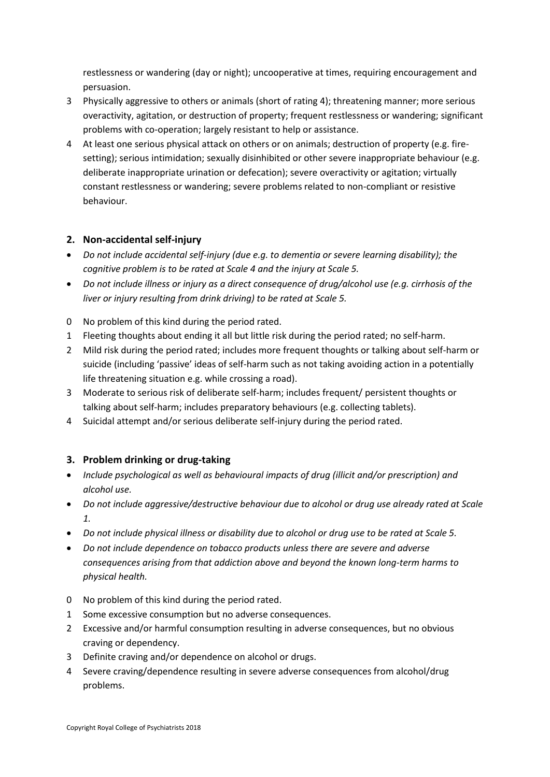restlessness or wandering (day or night); uncooperative at times, requiring encouragement and persuasion.

- 3 Physically aggressive to others or animals (short of rating 4); threatening manner; more serious overactivity, agitation, or destruction of property; frequent restlessness or wandering; significant problems with co-operation; largely resistant to help or assistance.
- 4 At least one serious physical attack on others or on animals; destruction of property (e.g. firesetting); serious intimidation; sexually disinhibited or other severe inappropriate behaviour (e.g. deliberate inappropriate urination or defecation); severe overactivity or agitation; virtually constant restlessness or wandering; severe problems related to non-compliant or resistive behaviour.

# **2. Non-accidental self-injury**

- *Do not include accidental self-injury (due e.g. to dementia or severe learning disability); the cognitive problem is to be rated at Scale 4 and the injury at Scale 5.*
- *Do not include illness or injury as a direct consequence of drug/alcohol use (e.g. cirrhosis of the liver or injury resulting from drink driving) to be rated at Scale 5.*
- 0 No problem of this kind during the period rated.
- 1 Fleeting thoughts about ending it all but little risk during the period rated; no self-harm.
- 2 Mild risk during the period rated; includes more frequent thoughts or talking about self-harm or suicide (including 'passive' ideas of self-harm such as not taking avoiding action in a potentially life threatening situation e.g. while crossing a road).
- 3 Moderate to serious risk of deliberate self-harm; includes frequent/ persistent thoughts or talking about self-harm; includes preparatory behaviours (e.g. collecting tablets).
- 4 Suicidal attempt and/or serious deliberate self-injury during the period rated.

# **3. Problem drinking or drug-taking**

- *Include psychological as well as behavioural impacts of drug (illicit and/or prescription) and alcohol use.*
- *Do not include aggressive/destructive behaviour due to alcohol or drug use already rated at Scale 1.*
- *Do not include physical illness or disability due to alcohol or drug use to be rated at Scale 5.*
- *Do not include dependence on tobacco products unless there are severe and adverse consequences arising from that addiction above and beyond the known long-term harms to physical health.*
- 0 No problem of this kind during the period rated.
- 1 Some excessive consumption but no adverse consequences.
- 2 Excessive and/or harmful consumption resulting in adverse consequences, but no obvious craving or dependency.
- 3 Definite craving and/or dependence on alcohol or drugs.
- 4 Severe craving/dependence resulting in severe adverse consequences from alcohol/drug problems.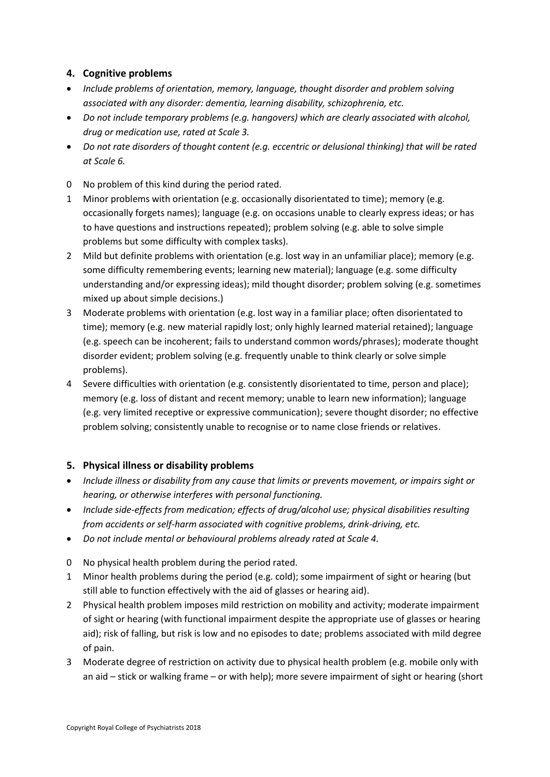## **4. Cognitive problems**

- *Include problems of orientation, memory, language, thought disorder and problem solving associated with any disorder: dementia, learning disability, schizophrenia, etc.*
- *Do not include temporary problems (e.g. hangovers) which are clearly associated with alcohol, drug or medication use, rated at Scale 3.*
- *Do not rate disorders of thought content (e.g. eccentric or delusional thinking) that will be rated at Scale 6.*
- 0 No problem of this kind during the period rated.
- 1 Minor problems with orientation (e.g. occasionally disorientated to time); memory (e.g. occasionally forgets names); language (e.g. on occasions unable to clearly express ideas; or has to have questions and instructions repeated); problem solving (e.g. able to solve simple problems but some difficulty with complex tasks).
- 2 Mild but definite problems with orientation (e.g. lost way in an unfamiliar place); memory (e.g. some difficulty remembering events; learning new material); language (e.g. some difficulty understanding and/or expressing ideas); mild thought disorder; problem solving (e.g. sometimes mixed up about simple decisions.)
- 3 Moderate problems with orientation (e.g. lost way in a familiar place; often disorientated to time); memory (e.g. new material rapidly lost; only highly learned material retained); language (e.g. speech can be incoherent; fails to understand common words/phrases); moderate thought disorder evident; problem solving (e.g. frequently unable to think clearly or solve simple problems).
- 4 Severe difficulties with orientation (e.g. consistently disorientated to time, person and place); memory (e.g. loss of distant and recent memory; unable to learn new information); language (e.g. very limited receptive or expressive communication); severe thought disorder; no effective problem solving; consistently unable to recognise or to name close friends or relatives.

# **5. Physical illness or disability problems**

- *Include illness or disability from any cause that limits or prevents movement, or impairs sight or hearing, or otherwise interferes with personal functioning.*
- *Include side-effects from medication; effects of drug/alcohol use; physical disabilities resulting from accidents or self-harm associated with cognitive problems, drink-driving, etc.*
- *Do not include mental or behavioural problems already rated at Scale 4.*
- 0 No physical health problem during the period rated.
- 1 Minor health problems during the period (e.g. cold); some impairment of sight or hearing (but still able to function effectively with the aid of glasses or hearing aid).
- 2 Physical health problem imposes mild restriction on mobility and activity; moderate impairment of sight or hearing (with functional impairment despite the appropriate use of glasses or hearing aid); risk of falling, but risk is low and no episodes to date; problems associated with mild degree of pain.
- 3 Moderate degree of restriction on activity due to physical health problem (e.g. mobile only with an aid – stick or walking frame – or with help); more severe impairment of sight or hearing (short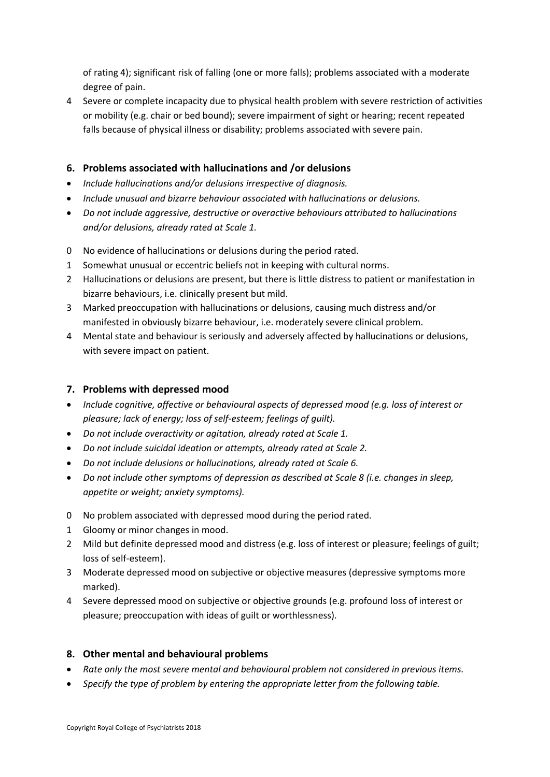of rating 4); significant risk of falling (one or more falls); problems associated with a moderate degree of pain.

4 Severe or complete incapacity due to physical health problem with severe restriction of activities or mobility (e.g. chair or bed bound); severe impairment of sight or hearing; recent repeated falls because of physical illness or disability; problems associated with severe pain.

## **6. Problems associated with hallucinations and /or delusions**

- *Include hallucinations and/or delusions irrespective of diagnosis.*
- *Include unusual and bizarre behaviour associated with hallucinations or delusions.*
- *Do not include aggressive, destructive or overactive behaviours attributed to hallucinations and/or delusions, already rated at Scale 1.*
- 0 No evidence of hallucinations or delusions during the period rated.
- 1 Somewhat unusual or eccentric beliefs not in keeping with cultural norms.
- 2 Hallucinations or delusions are present, but there is little distress to patient or manifestation in bizarre behaviours, i.e. clinically present but mild.
- 3 Marked preoccupation with hallucinations or delusions, causing much distress and/or manifested in obviously bizarre behaviour, i.e. moderately severe clinical problem.
- 4 Mental state and behaviour is seriously and adversely affected by hallucinations or delusions, with severe impact on patient.

#### **7. Problems with depressed mood**

- *Include cognitive, affective or behavioural aspects of depressed mood (e.g. loss of interest or pleasure; lack of energy; loss of self-esteem; feelings of guilt).*
- *Do not include overactivity or agitation, already rated at Scale 1.*
- *Do not include suicidal ideation or attempts, already rated at Scale 2.*
- *Do not include delusions or hallucinations, already rated at Scale 6.*
- *Do not include other symptoms of depression as described at Scale 8 (i.e. changes in sleep, appetite or weight; anxiety symptoms).*
- 0 No problem associated with depressed mood during the period rated.
- 1 Gloomy or minor changes in mood.
- 2 Mild but definite depressed mood and distress (e.g. loss of interest or pleasure; feelings of guilt; loss of self-esteem).
- 3 Moderate depressed mood on subjective or objective measures (depressive symptoms more marked).
- 4 Severe depressed mood on subjective or objective grounds (e.g. profound loss of interest or pleasure; preoccupation with ideas of guilt or worthlessness).

#### **8. Other mental and behavioural problems**

- *Rate only the most severe mental and behavioural problem not considered in previous items.*
- *Specify the type of problem by entering the appropriate letter from the following table.*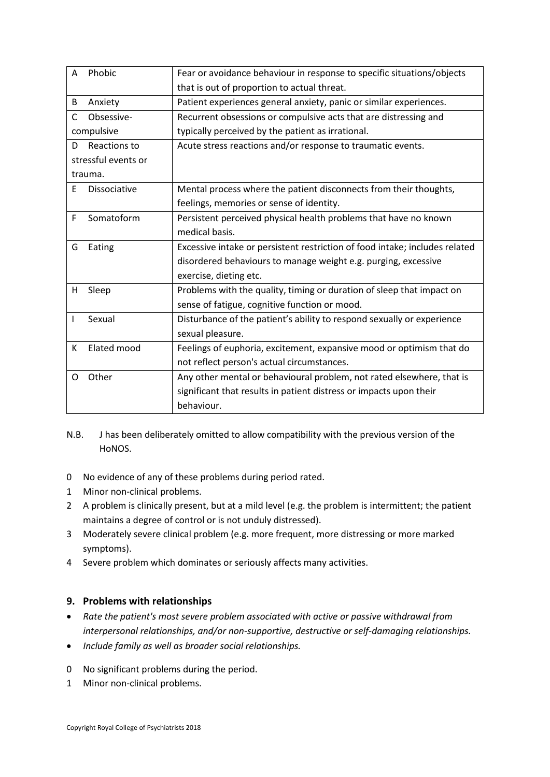| A                   | Phobic       | Fear or avoidance behaviour in response to specific situations/objects      |
|---------------------|--------------|-----------------------------------------------------------------------------|
|                     |              | that is out of proportion to actual threat.                                 |
| B                   | Anxiety      | Patient experiences general anxiety, panic or similar experiences.          |
| C                   | Obsessive-   | Recurrent obsessions or compulsive acts that are distressing and            |
| compulsive          |              | typically perceived by the patient as irrational.                           |
| D                   | Reactions to | Acute stress reactions and/or response to traumatic events.                 |
| stressful events or |              |                                                                             |
| trauma.             |              |                                                                             |
| E                   | Dissociative | Mental process where the patient disconnects from their thoughts,           |
|                     |              | feelings, memories or sense of identity.                                    |
| F                   | Somatoform   | Persistent perceived physical health problems that have no known            |
|                     |              | medical basis.                                                              |
| G                   | Eating       | Excessive intake or persistent restriction of food intake; includes related |
|                     |              | disordered behaviours to manage weight e.g. purging, excessive              |
|                     |              | exercise, dieting etc.                                                      |
| н                   | Sleep        | Problems with the quality, timing or duration of sleep that impact on       |
|                     |              | sense of fatigue, cognitive function or mood.                               |
| I                   | Sexual       | Disturbance of the patient's ability to respond sexually or experience      |
|                     |              | sexual pleasure.                                                            |
| K                   | Elated mood  | Feelings of euphoria, excitement, expansive mood or optimism that do        |
|                     |              | not reflect person's actual circumstances.                                  |
| O                   | Other        | Any other mental or behavioural problem, not rated elsewhere, that is       |
|                     |              | significant that results in patient distress or impacts upon their          |
|                     |              | behaviour.                                                                  |
|                     |              |                                                                             |

- N.B. J has been deliberately omitted to allow compatibility with the previous version of the HoNOS.
- 0 No evidence of any of these problems during period rated.
- 1 Minor non-clinical problems.
- 2 A problem is clinically present, but at a mild level (e.g. the problem is intermittent; the patient maintains a degree of control or is not unduly distressed).
- 3 Moderately severe clinical problem (e.g. more frequent, more distressing or more marked symptoms).
- 4 Severe problem which dominates or seriously affects many activities.

# **9. Problems with relationships**

- *Rate the patient's most severe problem associated with active or passive withdrawal from interpersonal relationships, and/or non-supportive, destructive or self-damaging relationships.*
- *Include family as well as broader social relationships.*
- 0 No significant problems during the period.
- 1 Minor non-clinical problems.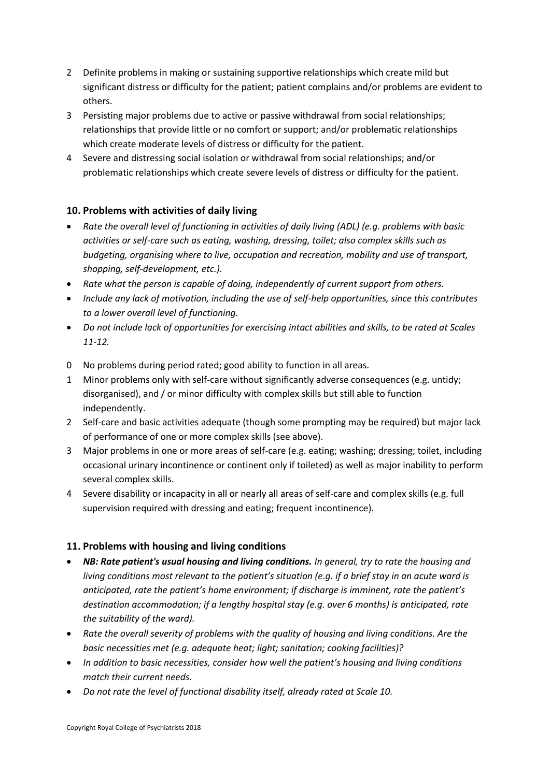- 2 Definite problems in making or sustaining supportive relationships which create mild but significant distress or difficulty for the patient; patient complains and/or problems are evident to others.
- 3 Persisting major problems due to active or passive withdrawal from social relationships; relationships that provide little or no comfort or support; and/or problematic relationships which create moderate levels of distress or difficulty for the patient.
- 4 Severe and distressing social isolation or withdrawal from social relationships; and/or problematic relationships which create severe levels of distress or difficulty for the patient.

### **10. Problems with activities of daily living**

- *Rate the overall level of functioning in activities of daily living (ADL) (e.g. problems with basic activities or self-care such as eating, washing, dressing, toilet; also complex skills such as budgeting, organising where to live, occupation and recreation, mobility and use of transport, shopping, self-development, etc.).*
- *Rate what the person is capable of doing, independently of current support from others.*
- *Include any lack of motivation, including the use of self-help opportunities, since this contributes to a lower overall level of functioning.*
- *Do not include lack of opportunities for exercising intact abilities and skills, to be rated at Scales 11-12.*
- 0 No problems during period rated; good ability to function in all areas.
- 1 Minor problems only with self-care without significantly adverse consequences (e.g. untidy; disorganised), and / or minor difficulty with complex skills but still able to function independently.
- 2 Self-care and basic activities adequate (though some prompting may be required) but major lack of performance of one or more complex skills (see above).
- 3 Major problems in one or more areas of self-care (e.g. eating; washing; dressing; toilet, including occasional urinary incontinence or continent only if toileted) as well as major inability to perform several complex skills.
- 4 Severe disability or incapacity in all or nearly all areas of self-care and complex skills (e.g. full supervision required with dressing and eating; frequent incontinence).

# **11. Problems with housing and living conditions**

- *NB: Rate patient's usual housing and living conditions. In general, try to rate the housing and living conditions most relevant to the patient's situation (e.g. if a brief stay in an acute ward is anticipated, rate the patient's home environment; if discharge is imminent, rate the patient's destination accommodation; if a lengthy hospital stay (e.g. over 6 months) is anticipated, rate the suitability of the ward).*
- *Rate the overall severity of problems with the quality of housing and living conditions. Are the basic necessities met (e.g. adequate heat; light; sanitation; cooking facilities)?*
- *In addition to basic necessities, consider how well the patient's housing and living conditions match their current needs.*
- *Do not rate the level of functional disability itself, already rated at Scale 10.*